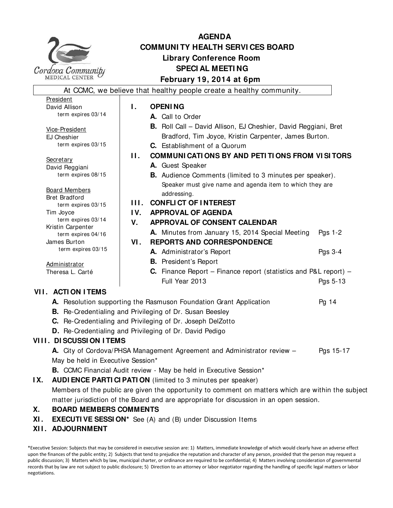

# **AGENDA COMMUNI TY HEALTH SERVI CES BOARD Library Conference Room SPECI AL MEETI NG February 19, 2014 at 6pm**

At CCMC, we believe that healthy people create a healthy community. President David Allison term expires 03/14 Vice-President EJ Cheshier term expires 03/15 **Secretary** David Reggiani term expires 08/15 Board Members Bret Bradford term expires 03/15 Tim Joyce term expires 03/14 Kristin Carpenter term expires 04/16 James Burton term expires 03/15 **Administrator** Theresa L. Carté **I. OPENING A.** Call to Order **B.** Roll Call – David Allison, EJ Cheshier, David Reggiani, Bret Bradford, Tim Joyce, Kristin Carpenter, James Burton. **C.** Establishment of a Quorum **II. COMMUNICATIONS BY AND PETITIONS FROM VISITORS A.** Guest Speaker **B.** Audience Comments (limited to 3 minutes per speaker). Speaker must give name and agenda item to which they are addressing. **I I I . CONFLI CT OF I NTEREST I V. APPROVAL OF AGENDA V. APPROVAL OF CONSENT CALENDAR A.** Minutes from January 15, 2014 Special Meeting Pgs 1-2 **VI . REPORTS AND CORRESPONDENCE A.** Administrator's Report Pgs 3-4 **B.** President's Report **C.** Finance Report – Finance report (statistics and P&L report) – Full Year 2013 **Pgs** 5-13 **VI I . ACTI ON I TEMS A.** Resolution supporting the Rasmuson Foundation Grant Application **Pg 14 B.** Re-Credentialing and Privileging of Dr. Susan Beesley

- 
- **C.** Re-Credentialing and Privileging of Dr. Joseph DelZotto
- **D.** Re-Credentialing and Privileging of Dr. David Pedigo

# **VIII. DI SCUSSI ON I TEMS**

**A.** City of Cordova/PHSA Management Agreement and Administrator review – Pgs 15-17 May be held in Executive Session\*

**B.** CCMC Financial Audit review - May be held in Executive Session\*

**IX. AUDI ENCE PARTI CI PATI ON** (limited to 3 minutes per speaker)

Members of the public are given the opportunity to comment on matters which are within the subject matter jurisdiction of the Board and are appropriate for discussion in an open session.

# **X. BOARD MEMBERS COMMENTS**

- **XI . EXECUTI VE SESSI ON\*** See (A) and (B) under Discussion Items
- **XI I . ADJOURNMENT**

\*Executive Session: Subjects that may be considered in executive session are: 1) Matters, immediate knowledge of which would clearly have an adverse effect upon the finances of the public entity; 2) Subjects that tend to prejudice the reputation and character of any person, provided that the person may request a public discussion; 3) Matters which by law, municipal charter, or ordinance are required to be confidential; 4) Matters involving consideration of governmental records that by law are not subject to public disclosure; 5) Direction to an attorney or labor negotiator regarding the handling of specific legal matters or labor negotiations.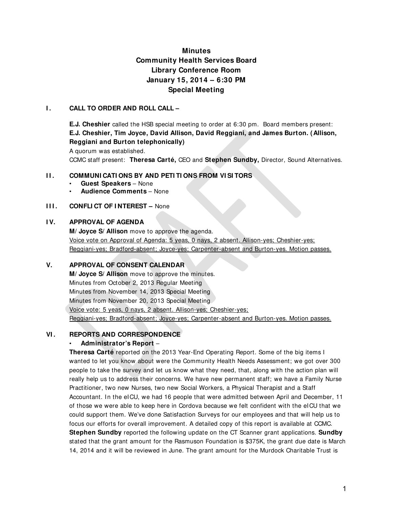# **Minutes Community Health Services Board Library Conference Room January 15, 2014 – 6:30 PM Special Meeting**

### **I . CALL TO ORDER AND ROLL CALL –**

**E.J. Cheshier** called the HSB special meeting to order at 6:30 pm. Board members present: **E.J. Cheshier, Tim Joyce, David Allison, David Reggiani, and James Burton. (Allison, Reggiani and Burton telephonically)** 

A quorum was established.

CCMC staff present: **Theresa Carté,** CEO and **Stephen Sundby,** Director, Sound Alternatives.

### **II. COMMUNI CATI ONS BY AND PETI TI ONS FROM VI SI TORS**

- **Guest Speakers**  None
- **Audience Comments**  None

### **III. CONFLICT OF INTEREST –** None

### **I V. APPROVAL OF AGENDA**

**M/ Joyce S/ Allison** move to approve the agenda. Voice vote on Approval of Agenda: 5 yeas, 0 nays, 2 absent. Allison-yes; Cheshier-yes; Reggiani-yes; Bradford-absent; Joyce-yes; Carpenter-absent and Burton-yes. Motion passes.

### **V. APPROVAL OF CONSENT CALENDAR**

**M/ Joyce S/ Allison** move to approve the minutes. Minutes from October 2, 2013 Regular Meeting Minutes from November 14, 2013 Special Meeting Minutes from November 20, 2013 Special Meeting Voice vote: 5 yeas, 0 nays, 2 absent. Allison-yes; Cheshier-yes; Reggiani-yes; Bradford-absent; Joyce-yes; Carpenter-absent and Burton-yes. Motion passes.

### **VI . REPORTS AND CORRESPONDENCE**

### • **Administrator's Report** –

**Theresa Carté** reported on the 2013 Year-End Operating Report. Some of the big items I wanted to let you know about were the Community Health Needs Assessment; we got over 300 people to take the survey and let us know what they need, that, along with the action plan will really help us to address their concerns. We have new permanent staff; we have a Family Nurse Practitioner, two new Nurses, two new Social Workers, a Physical Therapist and a Staff Accountant. In the eICU, we had 16 people that were admitted between April and December, 11 of those we were able to keep here in Cordova because we felt confident with the eICU that we could support them. We've done Satisfaction Surveys for our employees and that will help us to focus our efforts for overall improvement. A detailed copy of this report is available at CCMC. **Stephen Sundby** reported the following update on the CT Scanner grant applications. **Sundby** stated that the grant amount for the Rasmuson Foundation is \$375K, the grant due date is March 14, 2014 and it will be reviewed in June. The grant amount for the Murdock Charitable Trust is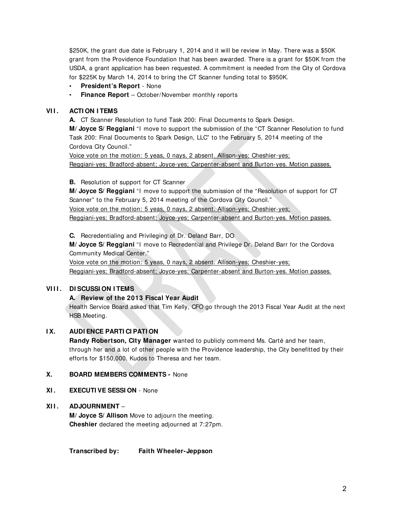\$250K, the grant due date is February 1, 2014 and it will be review in May. There was a \$50K grant from the Providence Foundation that has been awarded. There is a grant for \$50K from the USDA, a grant application has been requested. A commitment is needed from the City of Cordova for \$225K by March 14, 2014 to bring the CT Scanner funding total to \$950K.

- **President's Report**  None
- **Finance Report**  October/November monthly reports

### **VI I . ACTI ON I TEMS**

**A.** CT Scanner Resolution to fund Task 200: Final Documents to Spark Design.

**M/ Joyce S/ Reggiani** "I move to support the submission of the "CT Scanner Resolution to fund Task 200: Final Documents to Spark Design, LLC" to the February 5, 2014 meeting of the Cordova City Council."

Voice vote on the motion: 5 yeas, 0 nays, 2 absent. Allison-yes; Cheshier-yes; Reggiani-yes; Bradford-absent; Joyce-yes; Carpenter-absent and Burton-yes. Motion passes.

**B.** Resolution of support for CT Scanner

**M/ Joyce S/ Reggiani** "I move to support the submission of the "Resolution of support for CT Scanner" to the February 5, 2014 meeting of the Cordova City Council."

Voice vote on the motion: 5 yeas, 0 nays, 2 absent. Allison-yes; Cheshier-yes;

Reggiani-yes; Bradford-absent; Joyce-yes; Carpenter-absent and Burton-yes. Motion passes.

**C.** Recredentialing and Privileging of Dr. Deland Barr, DO

**M/ Joyce S/ Reggiani** "I move to Recredential and Privilege Dr. Deland Barr for the Cordova Community Medical Center."

Voice vote on the motion: 5 yeas, 0 nays, 2 absent. Allison-yes; Cheshier-yes;

Reggiani-yes; Bradford-absent; Joyce-yes; Carpenter-absent and Burton-yes. Motion passes.

### **VI I I . DI SCUSSI ON I TEMS**

### **A. Review of the 2013 Fiscal Year Audit**

Health Service Board asked that Tim Kelly, CFO go through the 2013 Fiscal Year Audit at the next HSB Meeting.

### **I X. AUDI ENCE PARTI CI PATI ON**

**Randy Robertson, City Manager** wanted to publicly commend Ms. Carté and her team, through her and a lot of other people with the Providence leadership, the City benefitted by their efforts for \$150,000. Kudos to Theresa and her team.

### **X. BOARD MEMBERS COMMENTS -** None

### **XI . EXECUTI VE SESSI ON** - None

### **XI I . ADJOURNMENT** –

**M/ Joyce S/ Allison** Move to adjourn the meeting. **Cheshier** declared the meeting adjourned at 7:27pm.

**Transcribed by: Faith Wheeler-Jeppson**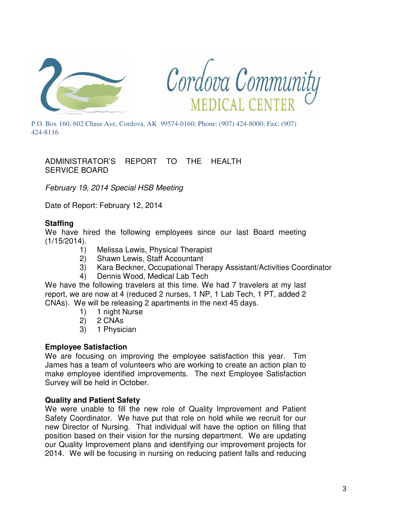



P.O. Box 160, 602 Chase Ave, Cordova, AK 99574-0160; Phone: (907) 424-8000; Fax: (907) 424-8116

ADMINISTRATOR'S REPORT TO THE HEALTH SERVICE BOARD

February 19, 2014 Special HSB Meeting

Date of Report: February 12, 2014

# **Staffing**

We have hired the following employees since our last Board meeting (1/15/2014).

- 1) Melissa Lewis, Physical Therapist
- 2) Shawn Lewis, Staff Accountant
- 3) Kara Beckner, Occupational Therapy Assistant/Activities Coordinator
- 4) Dennis Wood, Medical Lab Tech

We have the following travelers at this time. We had 7 travelers at my last report, we are now at 4 (reduced 2 nurses, 1 NP, 1 Lab Tech, 1 PT, added 2 CNAs). We will be releasing 2 apartments in the next 45 days.

- 1) 1 night Nurse
- 2) 2 CNAs
- 3) 1 Physician

# **Employee Satisfaction**

We are focusing on improving the employee satisfaction this year. Tim James has a team of volunteers who are working to create an action plan to make employee identified improvements. The next Employee Satisfaction Survey will be held in October.

# **Quality and Patient Safety**

We were unable to fill the new role of Quality Improvement and Patient Safety Coordinator. We have put that role on hold while we recruit for our new Director of Nursing. That individual will have the option on filling that position based on their vision for the nursing department. We are updating our Quality Improvement plans and identifying our improvement projects for 2014. We will be focusing in nursing on reducing patient falls and reducing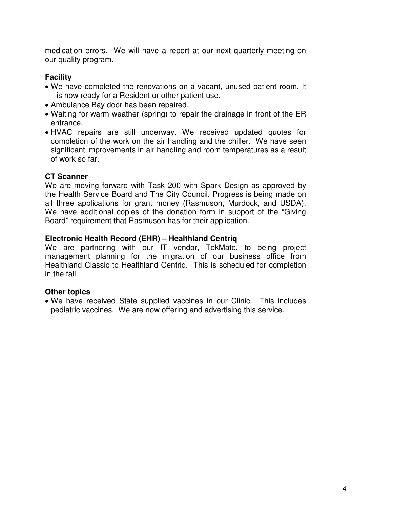medication errors. We will have a report at our next quarterly meeting on our quality program.

# **Facility**

- We have completed the renovations on a vacant, unused patient room. It is now ready for a Resident or other patient use.
- Ambulance Bay door has been repaired.
- Waiting for warm weather (spring) to repair the drainage in front of the ER entrance.
- HVAC repairs are still underway. We received updated quotes for completion of the work on the air handling and the chiller. We have seen significant improvements in air handling and room temperatures as a result of work so far.

# **CT Scanner**

We are moving forward with Task 200 with Spark Design as approved by the Health Service Board and The City Council. Progress is being made on all three applications for grant money (Rasmuson, Murdock, and USDA). We have additional copies of the donation form in support of the "Giving Board" requirement that Rasmuson has for their application.

# **Electronic Health Record (EHR) – Healthland Centriq**

We are partnering with our IT vendor, TekMate, to being project management planning for the migration of our business office from Healthland Classic to Healthland Centriq. This is scheduled for completion in the fall.

# **Other topics**

• We have received State supplied vaccines in our Clinic. This includes pediatric vaccines. We are now offering and advertising this service.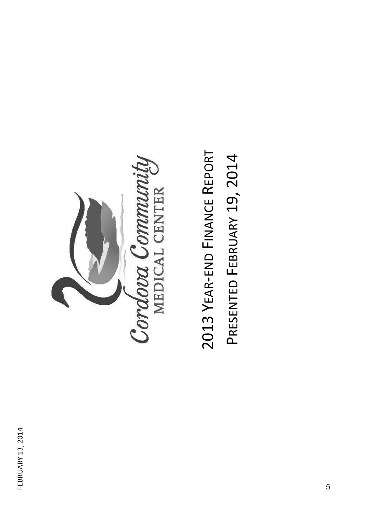

2013 YEAR-END FINANCE REPORT 2013 YEAR-END FINANCE REPORT PRESENTED FEBRUARY 19, 2014 PRESENTED FEBRUARY 19, 2014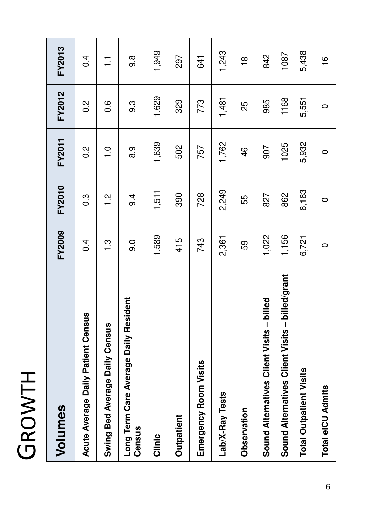| Ì             |  |
|---------------|--|
|               |  |
|               |  |
|               |  |
| $\big)$<br>Ú. |  |
| <u>r </u>     |  |
| (             |  |
|               |  |

| Volumes                                                  | <b>FY2009</b> | FY2010           | FY2011           | FY2012           | <b>FY2013</b>  |
|----------------------------------------------------------|---------------|------------------|------------------|------------------|----------------|
| Acute Average Daily Patient Census                       | 0.4           | $0.\overline{3}$ | $0.\overline{2}$ | $\frac{2}{0}$    | 0.4            |
| Census<br>Swing Bed Average Daily                        | $\frac{3}{1}$ | $\frac{2}{1}$    | $\frac{0}{1}$    | $0.\overline{6}$ | $\overline{1}$ |
| Daily Resident<br>Long Term Care Average<br>Census       | 0.6           | 9.4              | 0.6              | 9.3              | 9.8            |
| Clinic                                                   | 1,589         | 1,511            | 1,639            | 1,629            | 1,949          |
| Outpatient                                               | 415           | 390              | 502              | 329              | 297            |
| Emergency Room Visits                                    | 743           | 728              | 757              | 773              | 641            |
| Lab/X-Ray Tests                                          | 2,361         | 2,249            | 1,762            | 1,481            | 1,243          |
| Observation                                              | 59            | 55               | 46               | 25               | $\frac{8}{1}$  |
| Visits - billed<br>Sound Alternatives Client             | 1,022         | 827              | 907              | 985              | 842            |
| billed/grant<br>I<br>Visits<br>Sound Alternatives Client | 1,156         | 862              | 1025             | 1168             | 1087           |
| <b>Total Outpatient Visits</b>                           | 6,721         | 6,163            | 5,932            | 5,551            | 5,438          |
| <b>Total eICU Admits</b>                                 | $\circ$       | $\circ$          | $\circ$          | $\circ$          | $\frac{8}{1}$  |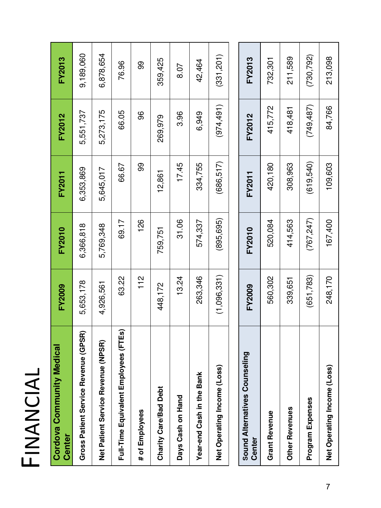| $\blacktriangleleft$ |  |
|----------------------|--|
| ( )                  |  |
|                      |  |
| $\blacktriangleleft$ |  |
|                      |  |
|                      |  |
| $\mathbf{L}$         |  |

| Cordova Community Medical<br>Center        | <b>FY2009</b> | FY2010     | FY2011     | <b>FY2012</b> | <b>FY2013</b> |
|--------------------------------------------|---------------|------------|------------|---------------|---------------|
| $e$ (GPSR)<br>Gross Patient Service Revenu | 5,653,178     | 6,366,818  | 6,353,869  | 5,551,737     | 9,189,060     |
| Net Patient Service Revenue (NPSR)         | 4,926,561     | 5,769,348  | 5,645,017  | 5,273,175     | 6,878,654     |
| Full-Time Equivalent Employees (FTEs)      | 63.22         | 69.17      | 66.67      | 66.05         | 76.96         |
| # of Employees                             | 112           | 126        | 99         | 96            | 99            |
| Charity Care/Bad Debt                      | 448,172       | 759,751    | 12,861     | 269,979       | 359,425       |
| Days Cash on Hand                          | 13.24         | 31.06      | 17.45      | 3.96          | 8.07          |
| Year-end Cash in the Bank                  | 263,346       | 574,337    | 334,755    | 6,949         | 42,464        |
| Net Operating Income (Loss)                | (1,096,331)   | (895, 695) | (686, 517) | (974, 491)    | (331, 201)    |
|                                            |               |            |            |               |               |
| <b>Sound Alternatives Counseling</b>       | EVOOOO        | EVON10     | EVOO11     | EVON10        | EVON19        |

| <b>Sound Alternatives Counselin</b><br>Center | <b>FY2009</b> | FY2010     | FY2011    | FY2012     | FY2013    |
|-----------------------------------------------|---------------|------------|-----------|------------|-----------|
| <b>Grant Revenue</b>                          | 560,302       | 520,084    | 420,180   | 415,772    | 732,301   |
| <b>Other Revenues</b>                         | 339,651       | 414,563    | 308,963   | 418,481    | 211,589   |
| Program Expenses                              | (651, 783)    | (767, 247) | (619,540) | (749, 487) | (730,792) |
| Net Operating Income (Loss)                   | 248,170       | 167,400    | 109,603   | 84,766     | 213,098   |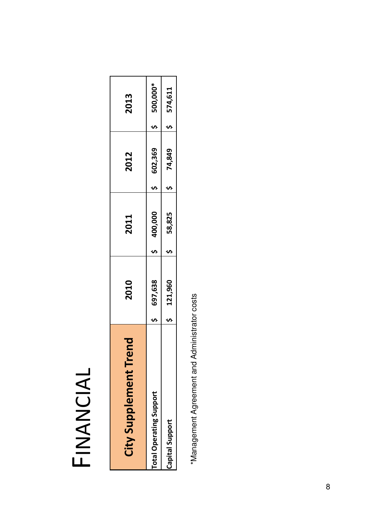# FINANCIAL

| ent Trend<br>City Supplem      | 2010    | 2011    | 2012    | 2013     |
|--------------------------------|---------|---------|---------|----------|
| <b>Total Operating Support</b> | 697,638 | 400,000 | 602,369 | 500,000* |
| Capital Support                | 121,960 | 58,825  | 74,849  | 574,611  |

\*Management Agreement and Administrator costs \*Management Agreement and Administrator costs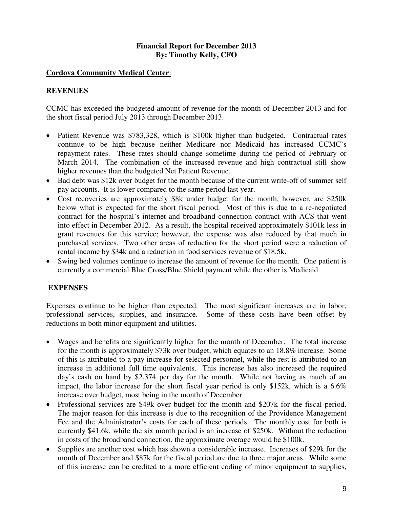### **Financial Report for December 2013 By: Timothy Kelly, CFO**

### **Cordova Community Medical Center**:

### **REVENUES**

CCMC has exceeded the budgeted amount of revenue for the month of December 2013 and for the short fiscal period July 2013 through December 2013.

- Patient Revenue was \$783,328, which is \$100k higher than budgeted. Contractual rates continue to be high because neither Medicare nor Medicaid has increased CCMC's repayment rates. These rates should change sometime during the period of February or March 2014. The combination of the increased revenue and high contractual still show higher revenues than the budgeted Net Patient Revenue.
- Bad debt was \$12k over budget for the month because of the current write-off of summer self pay accounts. It is lower compared to the same period last year.
- Cost recoveries are approximately \$8k under budget for the month, however, are \$250k below what is expected for the short fiscal period. Most of this is due to a re-negotiated contract for the hospital's internet and broadband connection contract with ACS that went into effect in December 2012. As a result, the hospital received approximately \$101k less in grant revenues for this service; however, the expense was also reduced by that much in purchased services. Two other areas of reduction for the short period were a reduction of rental income by \$34k and a reduction in food services revenue of \$18.5k.
- Swing bed volumes continue to increase the amount of revenue for the month. One patient is currently a commercial Blue Cross/Blue Shield payment while the other is Medicaid.

# **EXPENSES**

Expenses continue to be higher than expected. The most significant increases are in labor, professional services, supplies, and insurance. Some of these costs have been offset by reductions in both minor equipment and utilities.

- Wages and benefits are significantly higher for the month of December. The total increase for the month is approximately \$73k over budget, which equates to an 18.8% increase. Some of this is attributed to a pay increase for selected personnel, while the rest is attributed to an increase in additional full time equivalents. This increase has also increased the required day's cash on hand by \$2,374 per day for the month. While not having as much of an impact, the labor increase for the short fiscal year period is only \$152k, which is a 6.6% increase over budget, most being in the month of December.
- Professional services are \$49k over budget for the month and \$207k for the fiscal period. The major reason for this increase is due to the recognition of the Providence Management Fee and the Administrator's costs for each of these periods. The monthly cost for both is currently \$41.6k, while the six month period is an increase of \$250k. Without the reduction in costs of the broadband connection, the approximate overage would be \$100k.
- Supplies are another cost which has shown a considerable increase. Increases of \$29k for the month of December and \$87k for the fiscal period are due to three major areas. While some of this increase can be credited to a more efficient coding of minor equipment to supplies,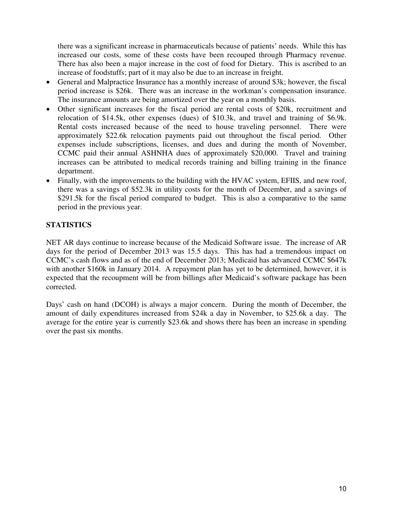there was a significant increase in pharmaceuticals because of patients' needs. While this has increased our costs, some of these costs have been recouped through Pharmacy revenue. There has also been a major increase in the cost of food for Dietary. This is ascribed to an increase of foodstuffs; part of it may also be due to an increase in freight.

- General and Malpractice Insurance has a monthly increase of around \$3k; however, the fiscal period increase is \$26k. There was an increase in the workman's compensation insurance. The insurance amounts are being amortized over the year on a monthly basis.
- Other significant increases for the fiscal period are rental costs of \$20k, recruitment and relocation of \$14.5k, other expenses (dues) of \$10.3k, and travel and training of \$6.9k. Rental costs increased because of the need to house traveling personnel. There were approximately \$22.6k relocation payments paid out throughout the fiscal period. Other expenses include subscriptions, licenses, and dues and during the month of November, CCMC paid their annual ASHNHA dues of approximately \$20,000. Travel and training increases can be attributed to medical records training and billing training in the finance department.
- Finally, with the improvements to the building with the HVAC system, EFIIS, and new roof, there was a savings of \$52.3k in utility costs for the month of December, and a savings of \$291.5k for the fiscal period compared to budget. This is also a comparative to the same period in the previous year.

# **STATISTICS**

NET AR days continue to increase because of the Medicaid Software issue. The increase of AR days for the period of December 2013 was 15.5 days. This has had a tremendous impact on CCMC's cash flows and as of the end of December 2013; Medicaid has advanced CCMC \$647k with another \$160k in January 2014. A repayment plan has yet to be determined, however, it is expected that the recoupment will be from billings after Medicaid's software package has been corrected.

Days' cash on hand (DCOH) is always a major concern. During the month of December, the amount of daily expenditures increased from \$24k a day in November, to \$25.6k a day. The average for the entire year is currently \$23.6k and shows there has been an increase in spending over the past six months.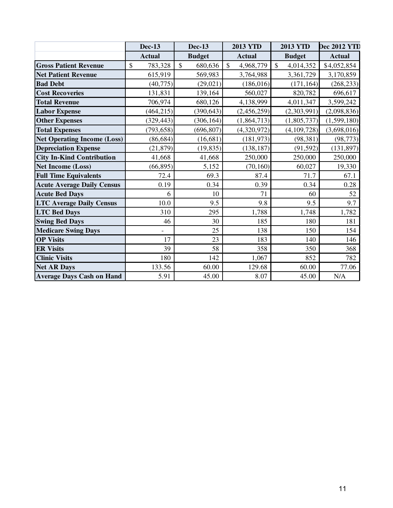|                                    | <b>Dec-13</b> | <b>Dec-13</b>           | <b>2013 YTD</b>           | <b>2013 YTD</b>            | <b>Dec 2012 YTD</b> |
|------------------------------------|---------------|-------------------------|---------------------------|----------------------------|---------------------|
|                                    | <b>Actual</b> | <b>Budget</b>           | <b>Actual</b>             | <b>Budget</b>              | <b>Actual</b>       |
| <b>Gross Patient Revenue</b>       | \$<br>783,328 | 680,636<br>$\mathbb{S}$ | $\mathbb{S}$<br>4,968,779 | $\mathsf{\$}$<br>4,014,352 | \$4,052,854         |
| <b>Net Patient Revenue</b>         | 615,919       | 569,983                 | 3,764,988                 | 3,361,729                  | 3,170,859           |
| <b>Bad Debt</b>                    | (40, 775)     | (29, 021)               | (186, 016)                | (171, 164)                 | (268, 233)          |
| <b>Cost Recoveries</b>             | 131,831       | 139,164                 | 560,027                   | 820,782                    | 696,617             |
| <b>Total Revenue</b>               | 706,974       | 680,126                 | 4,138,999                 | 4,011,347                  | 3,599,242           |
| <b>Labor Expense</b>               | (464, 215)    | (390, 643)              | (2,456,259)               | (2,303,991)                | (2,098,836)         |
| <b>Other Expenses</b>              | (329, 443)    | (306, 164)              | (1,864,713)               | (1,805,737)                | (1,599,180)         |
| <b>Total Expenses</b>              | (793, 658)    | (696, 807)              | (4,320,972)               | (4, 109, 728)              | (3,698,016)         |
| <b>Net Operating Income (Loss)</b> | (86, 684)     | (16, 681)               | (181, 973)                | (98, 381)                  | (98, 773)           |
| <b>Depreciation Expense</b>        | (21, 879)     | (19, 835)               | (138, 187)                | (91, 592)                  | (131, 897)          |
| <b>City In-Kind Contribution</b>   | 41,668        | 41,668                  | 250,000                   | 250,000                    | 250,000             |
| <b>Net Income (Loss)</b>           | (66, 895)     | 5,152                   | (70, 160)                 | 60,027                     | 19,330              |
| <b>Full Time Equivalents</b>       | 72.4          | 69.3                    | 87.4                      | 71.7                       | 67.1                |
| <b>Acute Average Daily Census</b>  | 0.19          | 0.34                    | 0.39                      | 0.34                       | 0.28                |
| <b>Acute Bed Days</b>              | 6             | 10                      | 71                        | 60                         | 52                  |
| <b>LTC Average Daily Census</b>    | 10.0          | 9.5                     | 9.8                       | 9.5                        | 9.7                 |
| <b>LTC Bed Days</b>                | 310           | 295                     | 1,788                     | 1,748                      | 1,782               |
| <b>Swing Bed Days</b>              | 46            | 30                      | 185                       | 180                        | 181                 |
| <b>Medicare Swing Days</b>         |               | 25                      | 138                       | 150                        | 154                 |
| <b>OP Visits</b>                   | 17            | 23                      | 183                       | 140                        | 146                 |
| <b>ER Visits</b>                   | 39            | 58                      | 358                       | 350                        | 368                 |
| <b>Clinic Visits</b>               | 180           | 142                     | 1,067                     | 852                        | 782                 |
| <b>Net AR Days</b>                 | 133.56        | 60.00                   | 129.68                    | 60.00                      | 77.06               |
| <b>Average Days Cash on Hand</b>   | 5.91          | 45.00                   | 8.07                      | 45.00                      | N/A                 |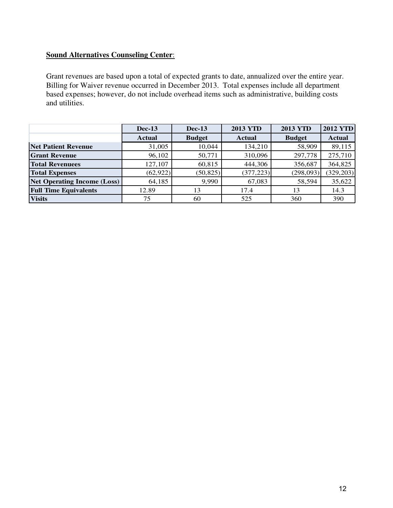# **Sound Alternatives Counseling Center**:

Grant revenues are based upon a total of expected grants to date, annualized over the entire year. Billing for Waiver revenue occurred in December 2013. Total expenses include all department based expenses; however, do not include overhead items such as administrative, building costs and utilities.

|                                    | <b>Dec-13</b> | $Dec-13$      | <b>2013 YTD</b> | <b>2013 YTD</b> | <b>2012 YTD</b> |
|------------------------------------|---------------|---------------|-----------------|-----------------|-----------------|
|                                    | Actual        | <b>Budget</b> | <b>Actual</b>   | <b>Budget</b>   | <b>Actual</b>   |
| <b>Net Patient Revenue</b>         | 31,005        | 10,044        | 134,210         | 58,909          | 89,115          |
| <b>Grant Revenue</b>               | 96,102        | 50,771        | 310,096         | 297,778         | 275,710         |
| <b>Total Revenuees</b>             | 127,107       | 60,815        | 444,306         | 356,687         | 364,825         |
| <b>Total Expenses</b>              | (62, 922)     | (50, 825)     | (377, 223)      | (298,093)       | (329, 203)      |
| <b>Net Operating Income (Loss)</b> | 64,185        | 9,990         | 67,083          | 58,594          | 35,622          |
| <b>Full Time Equivalents</b>       | 12.89         | 13            | 17.4            | 13              | 14.3            |
| <b>Visits</b>                      | 75            | 60            | 525             | 360             | 390             |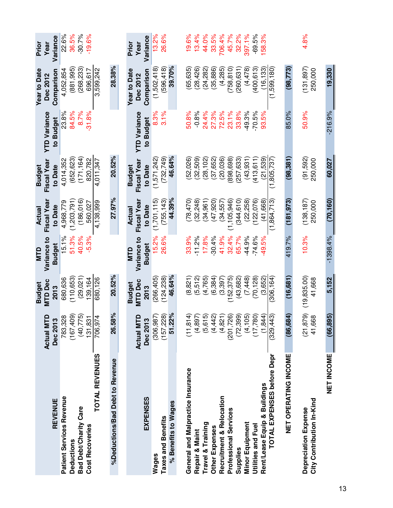|                                   |                                       | <b>Budget</b>   | <b>NTD</b>                   | Actual                | <b>Budget</b>          |                                  | <b>Year to Date</b>    | Prior            |
|-----------------------------------|---------------------------------------|-----------------|------------------------------|-----------------------|------------------------|----------------------------------|------------------------|------------------|
|                                   | $\Omega$<br><b>Actual MT</b>          | MTD Dec         | Variance to                  | Fiscal Year           | Fiscal Year            | <b>YTD Variance</b>              | <b>Dec 2012</b>        | Year             |
| REVENUE                           | Dec 2013                              | 2013            | <b>Budget</b>                | to Date               | to Date                | to Budget                        | Comparison             | Variance         |
| <b>Patient Services Revenue</b>   | 783,328                               | 680,636         | 15.1%                        | 4,968,779             | 4,014,352              | 23.8%                            | 4,052,854              | 22.6%            |
| <b>Deductions</b>                 | (167, 409)                            | 110,653)        | 51.3%                        | (1,203,791)           | (652, 623)             | 84.5%                            | 881,995)               | 36.5%            |
| <b>Bad Debt/Charity Care</b>      | ဂ္ဂ<br>(40, 77)                       | (29,021)        | 40.5%                        | (186.016)             | (171, 164)             | 8.7%                             | 268,233                | $-30.7%$         |
| <b>Cost Recoveries</b>            | $\overline{\mathbb{R}}$<br>131,83     | 39,164          | $-5.3%$                      | 560.027               | 820,782                | $-31.8%$                         | 696.617                | $-19.6%$         |
| <b>TOTAL REVENUES</b>             | 4<br>706,97                           | 680,126         |                              | 4,138,999             | 4,011,347              |                                  | 3,599,242              |                  |
| %Deductions/Bad Debt to Revenue   | $\frac{5}{6}$<br>26.58                | 20.52%          |                              | 27.97%                | 20.52%                 |                                  | 28.38%                 |                  |
|                                   |                                       |                 |                              |                       |                        |                                  |                        |                  |
|                                   |                                       | <b>Budget</b>   | <b>QLM</b>                   | Actual                | <b>Budget</b>          |                                  | Year to Date           | Prior            |
| EXPENSES                          | $\mathbf{a}$<br>Actual MT<br>Dec 2013 | MTD Dec<br>2013 | Variance to<br><b>Budget</b> | Fiscal Yea<br>to Date | Fiscal Year<br>to Date | <b>YTD Variance</b><br>to Budget | Comparison<br>Dec 2012 | Variance<br>Year |
| Wages                             | (306, 987)                            | 266,405)        | 15.2%                        | (1,701,115)           | (1,571,242)            | 8.3%                             | (1,502,418)            | 13.2%            |
| <b>Taxes and Benefits</b>         | (157, 228)                            | (124, 238)      | 26.6%                        | (755, 143)            | (732, 749)             | 3.1%                             | (596, 418)             | 26.6%            |
| % Benefits to Wages               | 51.22%                                | 46.64%          |                              | 44.39%                | 46.64%                 |                                  | 39.70%                 |                  |
|                                   |                                       |                 |                              |                       |                        |                                  |                        |                  |
| General and Malpractice Insurance | $\triangleq$<br>(11, 81)              | (8, 821)        | 33.9%                        | (78, 470)             | (52,026)               | 50.8%                            | (65, 635)              | 19.6%            |
| Repair & Maint                    | E<br>(4, 89)                          | (5,512)         | $-11.2%$                     | (32, 248)             | (32,509)               | $-0.8%$                          | (28, 426)              | 13.4%            |
| Travel & Training                 | 5<br>(5, 61)                          | (4, 765)        | 17.8%                        | (34, 961)             | (28, 102)              | 24.4%                            | (24, 282)              | 44.0%            |
| Other Expenses                    | <u>ରୁ</u><br>(4, 44)                  | (6, 384)        | $-30.4%$                     | (47, 920)             | (37, 652)              | 27.3%                            | (35, 886)              | 33.5%            |
| Recruitment & Relocation          | (4, 821)                              | (3, 397)        | 41.9%                        | (34, 557)             | (20, 036)              | 72.5%                            | (4,285)                | 706.4%           |
| Professional Services             | <u>୍ଚ</u><br>(201, 72)                | (152, 375)      | 32.4%                        | (1, 105, 946)         | (898,698)              | 23.1%                            | 758, 810               | 45.7%            |
| Supplies                          | (72, 399)                             | (43, 682)       | 65.7%                        | (344, 610)            | (257, 633)             | 33.8%                            | 260,631                | 32.2%            |
| <b>Minor Equipment</b>            | $\overline{5}$<br>(4, 10)             | (7, 448)        | 44.9%                        | (22, 258)             | (43, 931)              | 49.3%                            | (4,478)                | 397.1%           |
| Utilities and Fuel                | (17,780)                              | (70, 128)       | $-74.6%$                     | (122,076)             | (413, 611)             | $-70.5%$                         | (400, 613)             | $-69.5%$         |
| Rent/Lease Equip & Buildings      | (1, 844)                              | (3,652)         | 49.5%                        | (41.668)              | (21.539)               | 93.5%                            | (16.133)               | 58.3%            |
| TOTAL EXPENSES before Depr        | ကြ<br>(329, 44)                       | (306, 164)      |                              | (1,864,713)           | (1,805,737)            |                                  | (1,599,180)            |                  |
| NET OPERATING INCOME              | <u>ਦੇ</u><br>(86,68                   | (16, 681)       | 419.7%                       | (181, 973)            | (98, 381)              | 85.0%                            | (98, 773)              |                  |
|                                   |                                       |                 |                              |                       |                        |                                  |                        |                  |
| Depreciation Expense              | <u>်ခ</u><br>(21, 87)                 | (19, 835.00)    | 10.3%                        | (138, 187)            | (91,592)               | 50.9%                            | (131, 897)             | 4.8%             |
| City Contribution In-Kind         | $\frac{8}{10}$<br>41,66               | 41,668          |                              | 250,000               | 250,000                |                                  | 250,000                |                  |
| NET INCOME                        | $\overline{5}$<br>(66, 89)            | 5,152           | $-1398.4%$                   | (70, 160)             | 60,027                 | $-216.9%$                        | 19,330                 |                  |
|                                   |                                       |                 |                              |                       |                        |                                  |                        |                  |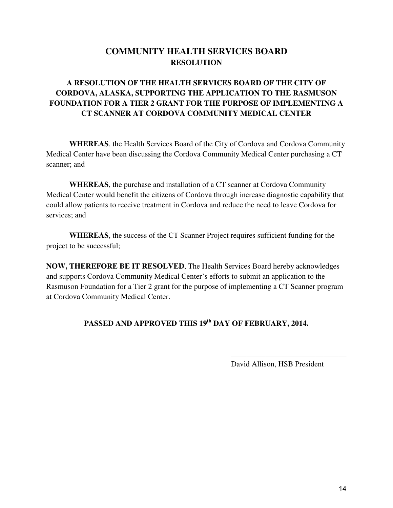# **COMMUNITY HEALTH SERVICES BOARD RESOLUTION**

# **A RESOLUTION OF THE HEALTH SERVICES BOARD OF THE CITY OF CORDOVA, ALASKA, SUPPORTING THE APPLICATION TO THE RASMUSON FOUNDATION FOR A TIER 2 GRANT FOR THE PURPOSE OF IMPLEMENTING A CT SCANNER AT CORDOVA COMMUNITY MEDICAL CENTER**

**WHEREAS**, the Health Services Board of the City of Cordova and Cordova Community Medical Center have been discussing the Cordova Community Medical Center purchasing a CT scanner; and

**WHEREAS**, the purchase and installation of a CT scanner at Cordova Community Medical Center would benefit the citizens of Cordova through increase diagnostic capability that could allow patients to receive treatment in Cordova and reduce the need to leave Cordova for services; and

**WHEREAS**, the success of the CT Scanner Project requires sufficient funding for the project to be successful;

**NOW, THEREFORE BE IT RESOLVED**, The Health Services Board hereby acknowledges and supports Cordova Community Medical Center's efforts to submit an application to the Rasmuson Foundation for a Tier 2 grant for the purpose of implementing a CT Scanner program at Cordova Community Medical Center.

# **PASSED AND APPROVED THIS 19th DAY OF FEBRUARY, 2014.**

 $\overline{\phantom{a}}$  , and the contract of the contract of the contract of the contract of the contract of the contract of the contract of the contract of the contract of the contract of the contract of the contract of the contrac

David Allison, HSB President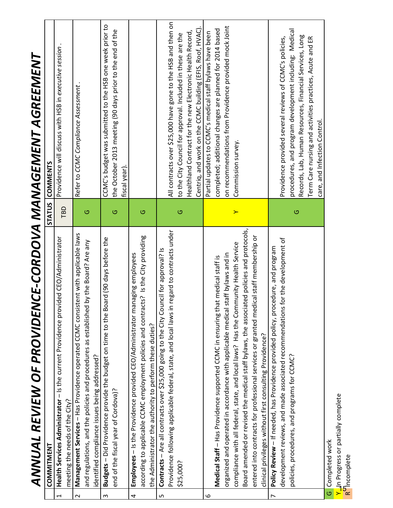|                          | ANNUAL REVIEW OF PROVIDENCE-CORDOVA MANAGEMENT AGREEMENT                                                                                            |         |                                                                                                                         |
|--------------------------|-----------------------------------------------------------------------------------------------------------------------------------------------------|---------|-------------------------------------------------------------------------------------------------------------------------|
|                          | <b>COMMITMENT</b>                                                                                                                                   |         | STATUS COMMENTS                                                                                                         |
| $\overline{\phantom{0}}$ | Health Services Administrator - Is the current Providence provided CEO/Administrator<br>meeting the needs of the City?                              | TBD     | Providence will discuss with HSB in executive session                                                                   |
| $\sim$                   | Management Services - Has Providence operated CCMC consistent with applicable laws                                                                  |         | Refer to CCMC Compliance Assessment.                                                                                    |
|                          | by the Board? Are any<br>and regulations, and the policies and procedures as established<br>identified compliance issues being addressed?           | $\circ$ |                                                                                                                         |
| ന                        | Budgets - Did Providence provide the budget on time to the Board (90 days before the                                                                |         | CCMC's budget was submitted to the HSB one week prior to                                                                |
|                          | end of the fiscal year of Cordova)?                                                                                                                 | O       | the October 2013 meeting (90 days prior to the end of the<br>fiscal year).                                              |
| 4                        | Employees - Is the Providence provided CEO/Administrator managing employees                                                                         |         |                                                                                                                         |
|                          | according to applicable CCMC employment policies and contracts? Is the City providing<br>the Administrator the authority to perform these duties?   | $\circ$ |                                                                                                                         |
| ഗ                        | Contracts - Are all contracts over \$25,000 going to the City Council for approval? Is                                                              |         |                                                                                                                         |
|                          | Providence following applicable federal, state, and local laws in regard to contracts under                                                         |         | All contracts over \$25,000 have gone to the HSB and then on                                                            |
|                          | \$25,000?                                                                                                                                           | $\circ$ | to the City Council for approval. Included in these are the                                                             |
|                          |                                                                                                                                                     |         | Centriq, and work on the CCMC building (EFIS, Roof, HVAC).<br>Healthland Contract for the new Electronic Health Record, |
| ဖ                        |                                                                                                                                                     |         | Partial updates to CCMC's medical staff bylaws have been                                                                |
|                          | Medical Staff - Has Providence supported CCMC in ensuring that medical staff is                                                                     |         | completed; additional changes are planned for 2014 based                                                                |
|                          | organized and operated in accordance with applicable medical staff bylaws and in                                                                    |         | on recommendations from Providence provided mock Joint                                                                  |
|                          | compliance with all federal, state, and local laws? Has the Community Health Service                                                                | $\succ$ | Commission survey.                                                                                                      |
|                          | Board amended or revised the medical staff bylaws, the associated policies and protocols,                                                           |         |                                                                                                                         |
|                          | entered into contracts for professional services or granted medical staff membership or<br>clinical privileges without first consulting Providence? |         |                                                                                                                         |
| $\overline{ }$           | Policy Review - If needed, has Providence provided policy, procedure, and program                                                                   |         |                                                                                                                         |
|                          | development reviews, and made associated recommendations for the development of                                                                     |         | Providence provided several reviews of CCMC's policies,                                                                 |
|                          | policies, procedures, and programs for CCMC?                                                                                                        | $\circ$ | procedures, and program development including: Medical                                                                  |
|                          |                                                                                                                                                     |         | Records, Lab, Human Resources, Financial Services, Long                                                                 |
|                          |                                                                                                                                                     |         | Term Care nursing and activities practices, Acute and ER<br>care, and Infection Control.                                |
|                          | G Completed work                                                                                                                                    |         |                                                                                                                         |

Y<mark>u</mark>n Progress<br>R<sup>o</sup>lncomplete  $\frac{1}{2}$ In Progress or partially complete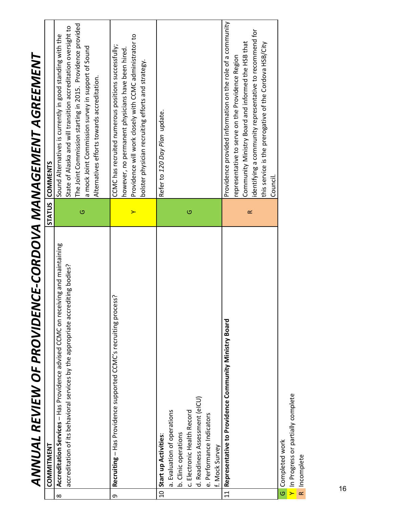| ANNUAL REVIEW OF PROVIDENCE-CORDOVA MANAGEMENT AGREEMENT                                                                                                                                       |           |                                                                                                                                                                                                                                                                                                        |  |
|------------------------------------------------------------------------------------------------------------------------------------------------------------------------------------------------|-----------|--------------------------------------------------------------------------------------------------------------------------------------------------------------------------------------------------------------------------------------------------------------------------------------------------------|--|
| <b>COMMITMENT</b>                                                                                                                                                                              |           | STATUS COMMENTS                                                                                                                                                                                                                                                                                        |  |
| iving and maintaining<br>accreditation of its behavioral services by the appropriate accrediting bodies?<br>Accreditation Services - Has Providence advised CCMC on rece<br>$\infty$           | $\circ$   | The Joint Commission starting in 2015. Providence provided<br>State of Alaska and will transition accreditation oversight to<br>Sound Alternatives is currently in good standing with the<br>a mock Joint Commission survey in support of Sound<br>Alternatives efforts towards accreditation.         |  |
| Recruiting - Has Providence supported CCMC's recruiting process?<br>ᡡ                                                                                                                          | ≻         | Providence will work closely with CCMC administrator to<br>CCMC has recruited numerous positions successfully;<br>however, no permanent physicians have been hired.<br>bolster physician recruiting efforts and strategy.                                                                              |  |
| d. Readiness Assessment (eICU)<br>a. Evaluation of operations<br>c. Electronic Health Record<br>e. Performance Indicators<br>b. Clinic operations<br>10 Start up Activities:<br>f. Mock Survey | $\circ$   | Refer to 120 Day Plan update.                                                                                                                                                                                                                                                                          |  |
| Representative to Providence Community Ministry Board<br>$\overline{11}$                                                                                                                       | $\propto$ | Providence provided information on the role of a community<br>identifying a community representative to recommend for<br>Community Ministry Board and informed the HSB that<br>this service is the prerogative of the Cordova HSB/City<br>representative to serve on the Providence Region<br>Council. |  |
| Y In Progress or partially complete<br>G Completed work<br>R Incomplete                                                                                                                        |           |                                                                                                                                                                                                                                                                                                        |  |